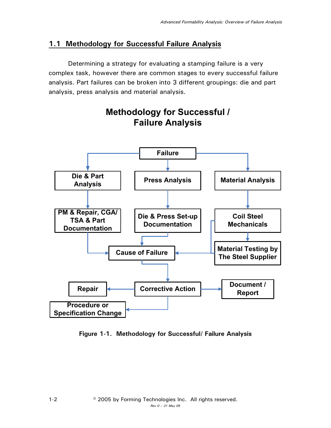## **1.1 Methodology for Successful Failure Analysis**

 Determining a strategy for evaluating a stamping failure is a very complex task, however there are common stages to every successful failure analysis. Part failures can be broken into 3 different groupings: die and part analysis, press analysis and material analysis.



## **Methodology for Successful / Failure Analysis**

**Figure 1-1. Methodology for Successful/ Failure Analysis**